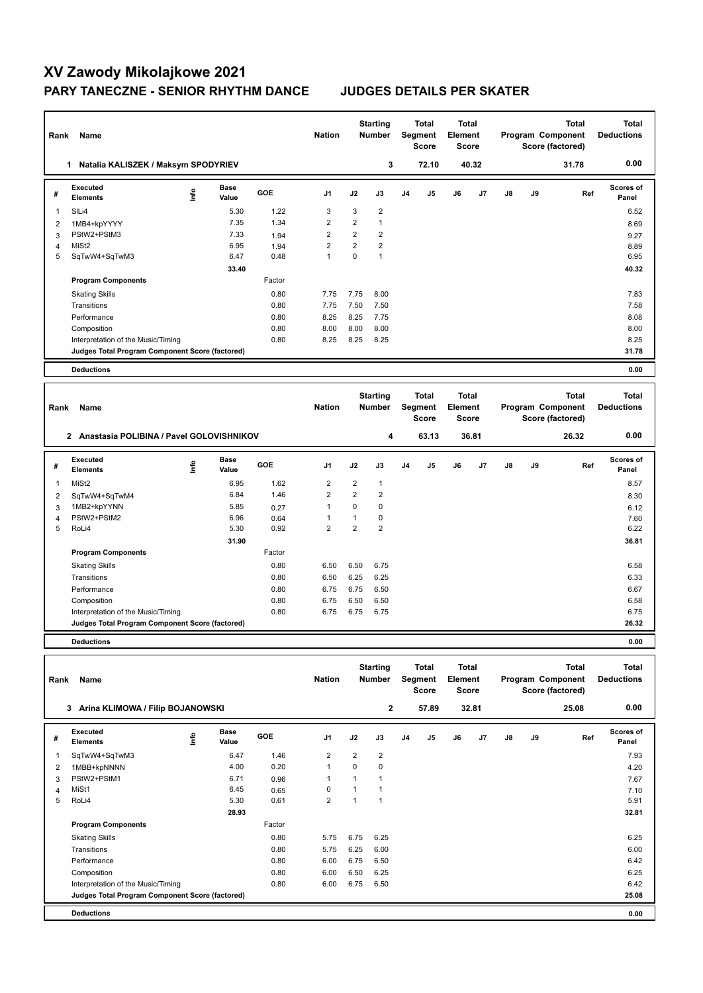## **XV Zawody Mikolajkowe 2021 PARY TANECZNE - SENIOR RHYTHM DANCE JUDGES DETAILS PER SKATER**

| Rank                                  | Name                                            |      |                      |              | <b>Nation</b>           |                     | <b>Starting</b><br>Number        |                                                | <b>Total</b><br>Segment<br><b>Score</b> | <b>Total</b><br>Element<br><b>Score</b> |       |                                                       |    | <b>Total</b><br>Program Component<br>Score (factored) | <b>Total</b><br><b>Deductions</b> |
|---------------------------------------|-------------------------------------------------|------|----------------------|--------------|-------------------------|---------------------|----------------------------------|------------------------------------------------|-----------------------------------------|-----------------------------------------|-------|-------------------------------------------------------|----|-------------------------------------------------------|-----------------------------------|
| 1 Natalia KALISZEK / Maksym SPODYRIEV |                                                 |      |                      |              |                         |                     | 3                                | 72.10                                          |                                         | 40.32                                   |       | 31.78                                                 |    |                                                       | 0.00                              |
| #                                     | Executed<br><b>Elements</b>                     | ١nf٥ | Base<br>Value        | GOE          | J <sub>1</sub>          | J2                  | J3                               | J4                                             | J5                                      | J6                                      | J7    | J8                                                    | J9 | Ref                                                   | <b>Scores of</b><br>Panel         |
| $\mathbf{1}$                          | SILi4                                           |      | 5.30                 | 1.22         | 3                       | 3                   | 2                                |                                                |                                         |                                         |       |                                                       |    |                                                       | 6.52                              |
| $\overline{2}$                        | 1MB4+kpYYYY                                     |      | 7.35                 | 1.34         | 2                       | $\overline{2}$      | $\mathbf{1}$                     |                                                |                                         |                                         |       |                                                       |    |                                                       | 8.69                              |
| 3                                     | PStW2+PStM3                                     |      | 7.33                 | 1.94         | 2                       | $\overline{2}$      | $\overline{2}$                   |                                                |                                         |                                         |       |                                                       |    |                                                       | 9.27                              |
| $\overline{4}$<br>5                   | MiSt <sub>2</sub><br>SqTwW4+SqTwM3              |      | 6.95<br>6.47         | 1.94<br>0.48 | 2<br>$\mathbf{1}$       | $\overline{2}$<br>0 | $\overline{2}$<br>$\mathbf{1}$   |                                                |                                         |                                         |       |                                                       |    |                                                       | 8.89<br>6.95                      |
|                                       |                                                 |      | 33.40                |              |                         |                     |                                  |                                                |                                         |                                         |       |                                                       |    |                                                       | 40.32                             |
|                                       | <b>Program Components</b>                       |      |                      | Factor       |                         |                     |                                  |                                                |                                         |                                         |       |                                                       |    |                                                       |                                   |
|                                       |                                                 |      |                      | 0.80         | 7.75                    | 7.75                | 8.00                             |                                                |                                         |                                         |       |                                                       |    |                                                       | 7.83                              |
|                                       | <b>Skating Skills</b><br>Transitions            |      |                      | 0.80         | 7.75                    | 7.50                | 7.50                             |                                                |                                         |                                         |       |                                                       |    |                                                       | 7.58                              |
|                                       | Performance                                     |      |                      | 0.80         | 8.25                    | 8.25                | 7.75                             |                                                |                                         |                                         |       |                                                       |    |                                                       | 8.08                              |
|                                       | Composition                                     |      |                      | 0.80         | 8.00                    | 8.00                | 8.00                             |                                                |                                         |                                         |       |                                                       |    |                                                       | 8.00                              |
|                                       | Interpretation of the Music/Timing              |      |                      | 0.80         | 8.25                    | 8.25                | 8.25                             |                                                |                                         |                                         |       |                                                       |    |                                                       | 8.25                              |
|                                       | Judges Total Program Component Score (factored) |      |                      |              |                         |                     |                                  |                                                |                                         |                                         |       |                                                       |    |                                                       | 31.78                             |
|                                       | <b>Deductions</b>                               |      |                      |              |                         |                     |                                  |                                                |                                         |                                         |       |                                                       |    |                                                       | 0.00                              |
|                                       |                                                 |      |                      |              |                         |                     |                                  |                                                |                                         |                                         |       |                                                       |    |                                                       |                                   |
| Rank                                  | Name                                            |      |                      |              | <b>Nation</b>           |                     | <b>Starting</b><br><b>Number</b> | <b>Total</b><br><b>Segment</b><br><b>Score</b> |                                         | Total<br>Element<br><b>Score</b>        |       | <b>Total</b><br>Program Component<br>Score (factored) |    |                                                       | <b>Total</b><br><b>Deductions</b> |
|                                       | 2 Anastasia POLIBINA / Pavel GOLOVISHNIKOV      |      |                      |              |                         |                     | 4                                |                                                | 63.13                                   |                                         | 36.81 |                                                       |    | 26.32                                                 | 0.00                              |
| #                                     | Executed<br><b>Elements</b>                     | ١m   | Base<br>Value        | GOE          | J1                      | J2                  | J3                               | J4                                             | J5                                      | J6                                      | J7    | J8                                                    | J9 | Ref                                                   | Scores of<br>Panel                |
| 1                                     | MiSt2                                           |      | 6.95                 | 1.62         | $\overline{2}$          | $\overline{2}$      | $\mathbf{1}$                     |                                                |                                         |                                         |       |                                                       |    |                                                       | 8.57                              |
| $\overline{2}$                        | SqTwW4+SqTwM4                                   |      | 6.84                 | 1.46         | $\overline{\mathbf{c}}$ | $\overline{2}$      | $\boldsymbol{2}$                 |                                                |                                         |                                         |       |                                                       |    |                                                       | 8.30                              |
| 3                                     | 1MB2+kpYYNN                                     |      | 5.85                 | 0.27         | $\mathbf{1}$            | 0                   | $\mathbf 0$                      |                                                |                                         |                                         |       |                                                       |    |                                                       | 6.12                              |
| $\overline{4}$                        | PStW2+PStM2                                     |      | 6.96                 | 0.64         | $\mathbf{1}$            | $\mathbf{1}$        | 0                                |                                                |                                         |                                         |       |                                                       |    |                                                       | 7.60                              |
| 5                                     | RoLi4                                           |      | 5.30                 | 0.92         | $\overline{2}$          | $\overline{2}$      | $\overline{2}$                   |                                                |                                         |                                         |       |                                                       |    |                                                       | 6.22                              |
|                                       |                                                 |      | 31.90                |              |                         |                     |                                  |                                                |                                         |                                         |       |                                                       |    |                                                       | 36.81                             |
|                                       | <b>Program Components</b>                       |      |                      | Factor       |                         |                     |                                  |                                                |                                         |                                         |       |                                                       |    |                                                       |                                   |
|                                       | <b>Skating Skills</b>                           |      |                      | 0.80         | 6.50                    | 6.50                | 6.75                             |                                                |                                         |                                         |       |                                                       |    |                                                       | 6.58                              |
|                                       | Transitions                                     |      |                      | 0.80         | 6.50                    | 6.25                | 6.25                             |                                                |                                         |                                         |       |                                                       |    |                                                       | 6.33                              |
|                                       | Performance                                     |      |                      | 0.80         | 6.75                    | 6.75                | 6.50                             |                                                |                                         |                                         |       |                                                       |    |                                                       | 6.67                              |
|                                       | Composition                                     |      |                      | 0.80         | 6.75                    | 6.50                | 6.50                             |                                                |                                         |                                         |       |                                                       |    |                                                       | 6.58                              |
|                                       | Interpretation of the Music/Timing              |      |                      | 0.80         | 6.75                    | 6.75                | 6.75                             |                                                |                                         |                                         |       |                                                       |    |                                                       | 6.75                              |
|                                       | Judges Total Program Component Score (factored) |      |                      |              |                         |                     |                                  |                                                |                                         |                                         |       |                                                       |    |                                                       | 26.32                             |
|                                       | <b>Deductions</b>                               |      |                      |              |                         |                     |                                  |                                                |                                         |                                         |       |                                                       |    |                                                       | 0.00                              |
|                                       |                                                 |      |                      |              |                         | <b>Starting</b>     |                                  | <b>Total</b>                                   |                                         | <b>Total</b>                            |       |                                                       |    | <b>Total</b>                                          | <b>Total</b>                      |
| Rank                                  | Name                                            |      |                      |              | <b>Nation</b>           |                     | <b>Number</b>                    |                                                | Segment<br><b>Score</b>                 | Element<br><b>Score</b>                 |       |                                                       |    | Program Component<br>Score (factored)                 | <b>Deductions</b>                 |
| 3 Arina KLIMOWA / Filip BOJANOWSKI    |                                                 |      |                      |              |                         |                     | $\mathbf 2$                      |                                                | 57.89                                   |                                         | 32.81 |                                                       |    | 25.08                                                 | 0.00                              |
| #                                     | Executed<br><b>Elements</b>                     | lnfo | <b>Base</b><br>Value | GOE          | J <sub>1</sub>          | J2                  | J3                               | J <sub>4</sub>                                 | J5                                      | J6                                      | J7    | J8                                                    | J9 | Ref                                                   | Scores of<br>Panel                |
| $\mathbf{1}$                          | SqTwW4+SqTwM3                                   |      | 6.47                 | 1.46         | $\overline{2}$          | $\overline{2}$      | $\overline{2}$                   |                                                |                                         |                                         |       |                                                       |    |                                                       | 7.93                              |
| $\overline{2}$                        | 1MBB+kpNNNN                                     |      | 4.00                 | 0.20         | $\mathbf{1}$            | 0                   | $\pmb{0}$                        |                                                |                                         |                                         |       |                                                       |    |                                                       | 4.20                              |
| 3                                     | PStW2+PStM1                                     |      | 6.71                 | 0.96         | 1                       | $\mathbf{1}$        | $\mathbf{1}$                     |                                                |                                         |                                         |       |                                                       |    |                                                       | 7.67                              |
| $\overline{4}$                        | MiSt1                                           |      | 6.45                 | 0.65         | 0                       | $\mathbf{1}$        | $\mathbf{1}$                     |                                                |                                         |                                         |       |                                                       |    |                                                       | 7.10                              |
| 5                                     | RoLi4                                           |      | 5.30                 | 0.61         | $\overline{2}$          | $\mathbf{1}$        | $\mathbf{1}$                     |                                                |                                         |                                         |       |                                                       |    |                                                       | 5.91                              |
|                                       |                                                 |      | 28.93                |              |                         |                     |                                  |                                                |                                         |                                         |       |                                                       |    |                                                       | 32.81                             |
|                                       | <b>Program Components</b>                       |      |                      | Factor       |                         |                     |                                  |                                                |                                         |                                         |       |                                                       |    |                                                       |                                   |
|                                       | <b>Skating Skills</b>                           |      |                      | 0.80         | 5.75                    | 6.75                | 6.25                             |                                                |                                         |                                         |       |                                                       |    |                                                       | 6.25                              |
|                                       | Transitions                                     |      |                      | 0.80         | 5.75                    | 6.25                | 6.00                             |                                                |                                         |                                         |       |                                                       |    |                                                       | 6.00                              |
|                                       | Performance                                     |      |                      | 0.80         | 6.00                    | 6.75                | 6.50                             |                                                |                                         |                                         |       |                                                       |    |                                                       | 6.42                              |
|                                       | Composition                                     |      |                      | 0.80         | 6.00                    | 6.50                | 6.25                             |                                                |                                         |                                         |       |                                                       |    |                                                       | 6.25                              |
|                                       | Interpretation of the Music/Timing              |      |                      | 0.80         | 6.00                    | 6.75                | 6.50                             |                                                |                                         |                                         |       |                                                       |    |                                                       | 6.42                              |
|                                       | Judges Total Program Component Score (factored) |      |                      |              |                         |                     |                                  |                                                |                                         |                                         |       |                                                       |    |                                                       | 25.08                             |
|                                       | <b>Deductions</b>                               |      |                      |              |                         |                     |                                  |                                                |                                         |                                         |       |                                                       |    |                                                       | 0.00                              |